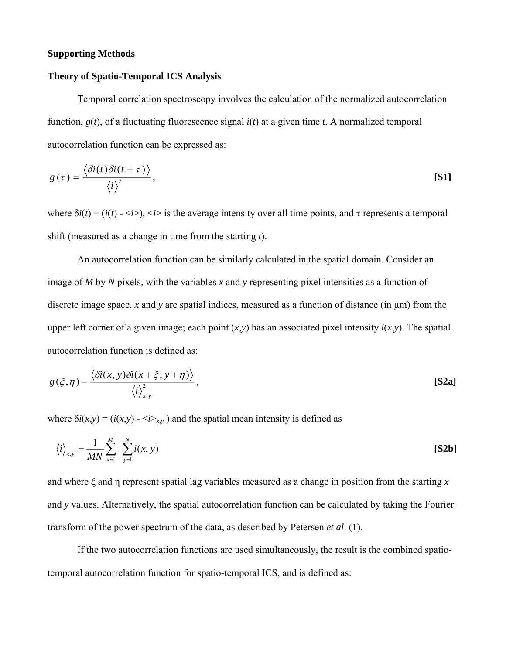## **Supporting Methods**

## **Theory of Spatio-Temporal ICS Analysis**

Temporal correlation spectroscopy involves the calculation of the normalized autocorrelation function, *g*(*t*), of a fluctuating fluorescence signal *i*(*t*) at a given time *t*. A normalized temporal autocorrelation function can be expressed as:

$$
g(\tau) = \frac{\langle \delta i(t) \delta i(t+\tau) \rangle}{\langle i \rangle^2},
$$
 [S1]

where  $\delta i(t) = (i(t) - \langle i \rangle)$ ,  $\langle i \rangle$  is the average intensity over all time points, and  $\tau$  represents a temporal shift (measured as a change in time from the starting *t*).

An autocorrelation function can be similarly calculated in the spatial domain. Consider an image of *M* by *N* pixels, with the variables *x* and *y* representing pixel intensities as a function of discrete image space. *x* and *y* are spatial indices, measured as a function of distance (in µm) from the upper left corner of a given image; each point  $(x, y)$  has an associated pixel intensity  $i(x, y)$ . The spatial autocorrelation function is defined as:

$$
g(\xi,\eta) = \frac{\langle \delta i(x,y)\delta i(x+\xi,y+\eta) \rangle}{\langle i \rangle_{x,y}^2},
$$
 [S2a]

where  $\delta i(x,y) = (i(x,y) - \langle i \rangle_{x,y})$  and the spatial mean intensity is defined as

$$
\langle i \rangle_{x,y} = \frac{1}{MN} \sum_{x=1}^{M} \sum_{y=1}^{N} i(x, y)
$$
 [S2b]

and where ξ and η represent spatial lag variables measured as a change in position from the starting *x* and *y* values. Alternatively, the spatial autocorrelation function can be calculated by taking the Fourier transform of the power spectrum of the data, as described by Petersen *et al*. (1).

If the two autocorrelation functions are used simultaneously, the result is the combined spatiotemporal autocorrelation function for spatio-temporal ICS, and is defined as: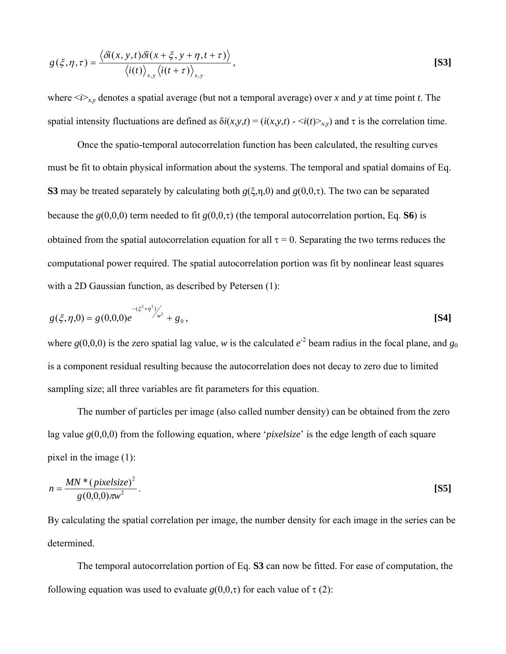$$
g(\xi, \eta, \tau) = \frac{\langle \delta i(x, y, t) \delta i(x + \xi, y + \eta, t + \tau) \rangle}{\langle i(t) \rangle_{x, y} \langle i(t + \tau) \rangle_{x, y}},
$$
\n[S3]

where  $\langle i \rangle_{x,y}$  denotes a spatial average (but not a temporal average) over *x* and *y* at time point *t*. The spatial intensity fluctuations are defined as  $\delta i(x, y, t) = (i(x, y, t) - \langle i(t) \rangle_{x, y})$  and  $\tau$  is the correlation time.

Once the spatio-temporal autocorrelation function has been calculated, the resulting curves must be fit to obtain physical information about the systems. The temporal and spatial domains of Eq. **S3** may be treated separately by calculating both *g*(ξ,η,0) and *g*(0,0,τ). The two can be separated because the  $g(0,0,0)$  term needed to fit  $g(0,0,\tau)$  (the temporal autocorrelation portion, Eq. **S6**) is obtained from the spatial autocorrelation equation for all  $\tau = 0$ . Separating the two terms reduces the computational power required. The spatial autocorrelation portion was fit by nonlinear least squares with a 2D Gaussian function, as described by Petersen (1):

$$
g(\xi,\eta,0) = g(0,0,0)e^{-\left(\xi^2+\eta^2\right) \sqrt{\mu^2}} + g_0,
$$
 [S4]

where  $g(0,0,0)$  is the zero spatial lag value, *w* is the calculated  $e^{-2}$  beam radius in the focal plane, and  $g_0$ is a component residual resulting because the autocorrelation does not decay to zero due to limited sampling size; all three variables are fit parameters for this equation.

The number of particles per image (also called number density) can be obtained from the zero lag value *g*(0,0,0) from the following equation, where '*pixelsize*' is the edge length of each square pixel in the image (1):

$$
n = \frac{MN \cdot (pixelsize)^2}{g(0,0,0)\pi w^2}.
$$
 [S5]

By calculating the spatial correlation per image, the number density for each image in the series can be determined.

The temporal autocorrelation portion of Eq. **S3** can now be fitted. For ease of computation, the following equation was used to evaluate  $g(0,0,\tau)$  for each value of  $\tau$  (2):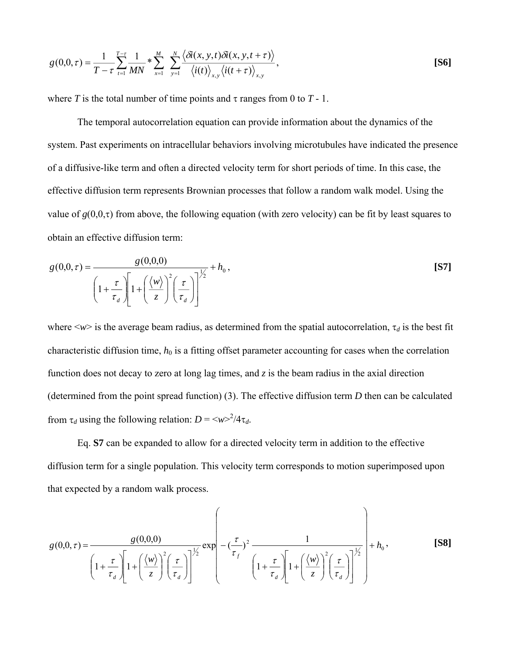$$
g(0,0,\tau) = \frac{1}{T-\tau} \sum_{t=1}^{T-\tau} \frac{1}{MN} * \sum_{x=1}^{M} \sum_{y=1}^{N} \frac{\langle \delta \tilde{\iota}(x,y,t) \delta \tilde{\iota}(x,y,t+\tau) \rangle}{\langle i(t) \rangle_{x,y} \langle i(t+\tau) \rangle_{x,y}},
$$
 [S6]

where *T* is the total number of time points and  $\tau$  ranges from 0 to  $T - 1$ .

The temporal autocorrelation equation can provide information about the dynamics of the system. Past experiments on intracellular behaviors involving microtubules have indicated the presence of a diffusive-like term and often a directed velocity term for short periods of time. In this case, the effective diffusion term represents Brownian processes that follow a random walk model. Using the value of  $g(0,0,\tau)$  from above, the following equation (with zero velocity) can be fit by least squares to obtain an effective diffusion term:

$$
g(0,0,\tau) = \frac{g(0,0,0)}{\left(1 + \frac{\tau}{\tau_d}\right)\left[1 + \left(\frac{\langle w \rangle}{z}\right)^2 \left(\frac{\tau}{\tau_d}\right)\right]^{1/2}} + h_0,
$$
\n[S7]

where  $\langle w \rangle$  is the average beam radius, as determined from the spatial autocorrelation,  $\tau_d$  is the best fit characteristic diffusion time,  $h_0$  is a fitting offset parameter accounting for cases when the correlation function does not decay to zero at long lag times, and *z* is the beam radius in the axial direction (determined from the point spread function) (3). The effective diffusion term *D* then can be calculated from  $\tau_d$  using the following relation:  $D = \langle w \rangle^2 / 4 \tau_d$ .

Eq. **S7** can be expanded to allow for a directed velocity term in addition to the effective diffusion term for a single population. This velocity term corresponds to motion superimposed upon that expected by a random walk process.

$$
g(0,0,\tau) = \frac{g(0,0,0)}{\left(1+\frac{\tau}{\tau_d}\left[1+\left(\frac{\langle w\rangle}{z}\right)^2\left(\frac{\tau}{\tau_d}\right)\right]^{1/2}}\exp\left(-\left(\frac{\tau}{\tau_f}\right)^2\frac{1}{\left(1+\frac{\tau}{\tau_d}\left[1+\left(\frac{\langle w\rangle}{z}\right)^2\left(\frac{\tau}{\tau_d}\right)\right]^{1/2}}\right)+h_0,
$$
\n(S8)